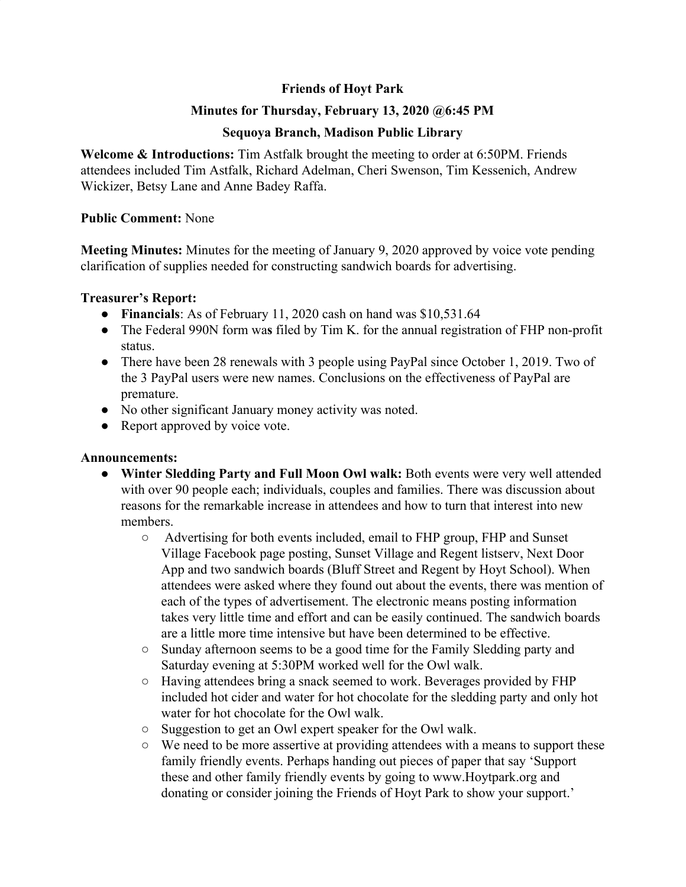# **Friends of Hoyt Park**

## **Minutes for Thursday, February 13, 2020 @6:45 PM**

## **Sequoya Branch, Madison Public Library**

**Welcome & Introductions:** Tim Astfalk brought the meeting to order at 6:50PM. Friends attendees included Tim Astfalk, Richard Adelman, Cheri Swenson, Tim Kessenich, Andrew Wickizer, Betsy Lane and Anne Badey Raffa.

#### **Public Comment:** None

**Meeting Minutes:** Minutes for the meeting of January 9, 2020 approved by voice vote pending clarification of supplies needed for constructing sandwich boards for advertising.

#### **Treasurer's Report:**

- **Financials**: As of February 11, 2020 cash on hand was \$10,531.64
- The Federal 990N form wa**s** filed by Tim K. for the annual registration of FHP non-profit status.
- There have been 28 renewals with 3 people using PayPal since October 1, 2019. Two of the 3 PayPal users were new names. Conclusions on the effectiveness of PayPal are premature.
- No other significant January money activity was noted.
- Report approved by voice vote.

### **Announcements:**

- **● Winter Sledding Party and Full Moon Owl walk:** Both events were very well attended with over 90 people each; individuals, couples and families. There was discussion about reasons for the remarkable increase in attendees and how to turn that interest into new members.
	- **○** Advertising for both events included, email to FHP group, FHP and Sunset Village Facebook page posting, Sunset Village and Regent listserv, Next Door App and two sandwich boards (Bluff Street and Regent by Hoyt School). When attendees were asked where they found out about the events, there was mention of each of the types of advertisement. The electronic means posting information takes very little time and effort and can be easily continued. The sandwich boards are a little more time intensive but have been determined to be effective.
	- Sunday afternoon seems to be a good time for the Family Sledding party and Saturday evening at 5:30PM worked well for the Owl walk.
	- Having attendees bring a snack seemed to work. Beverages provided by FHP included hot cider and water for hot chocolate for the sledding party and only hot water for hot chocolate for the Owl walk.
	- Suggestion to get an Owl expert speaker for the Owl walk.
	- We need to be more assertive at providing attendees with a means to support these family friendly events. Perhaps handing out pieces of paper that say 'Support these and other family friendly events by going to www.Hoytpark.org and donating or consider joining the Friends of Hoyt Park to show your support.'